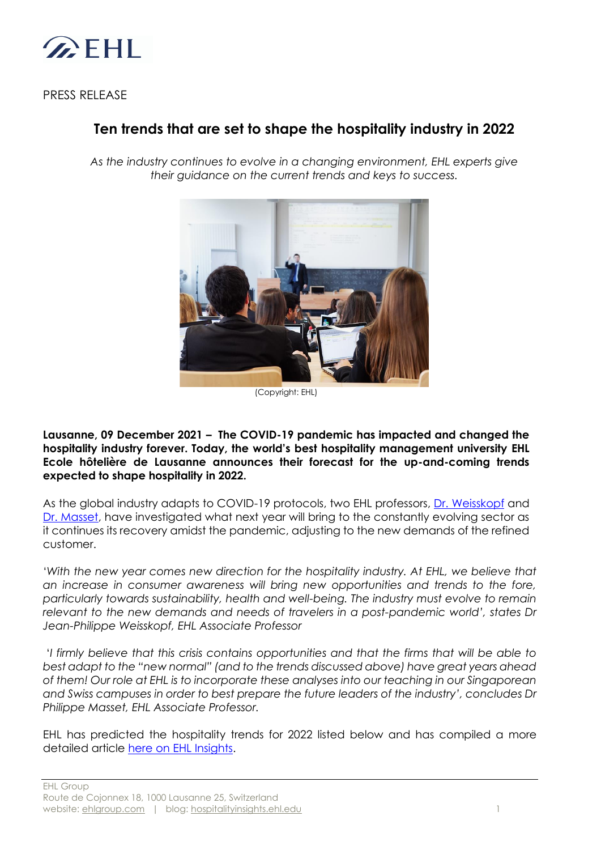

PRESS RELEASE

# **Ten trends that are set to shape the hospitality industry in 2022**

*As the industry continues to evolve in a changing environment, EHL experts give their guidance on the current trends and keys to success.*



(Copyright: EHL)

**Lausanne, 09 December 2021 – The COVID-19 pandemic has impacted and changed the hospitality industry forever. Today, the world's best hospitality management university EHL Ecole hôtelière de Lausanne announces their forecast for the up-and-coming trends expected to shape hospitality in 2022.** 

As the global industry adapts to COVID-19 protocols, two EHL professors, [Dr. Weisskopf](https://www.ehl.edu/en/faculty-research/our-faculty/weisskopf-jean-philippe) and [Dr. Masset,](https://www.ehl.edu/en/faculty-research/our-faculty/masset-philippe) have investigated what next year will bring to the constantly evolving sector as it continues its recovery amidst the pandemic, adjusting to the new demands of the refined customer.

*'With the new year comes new direction for the hospitality industry. At EHL, we believe that an increase in consumer awareness will bring new opportunities and trends to the fore, particularly towards sustainability, health and well-being. The industry must evolve to remain relevant to the new demands and needs of travelers in a post-pandemic world', states Dr Jean-Philippe Weisskopf, EHL Associate Professor*

'*I firmly believe that this crisis contains opportunities and that the firms that will be able to best adapt to the "new normal" (and to the trends discussed above) have great years ahead of them! Our role at EHL is to incorporate these analyses into our teaching in our Singaporean and Swiss campuses in order to best prepare the future leaders of the industry', concludes Dr Philippe Masset, EHL Associate Professor.* 

EHL has predicted the hospitality trends for 2022 listed below and has compiled a more detailed article [here on EHL Insights.](https://hospitalityinsights.ehl.edu/hospitality-industry-trends)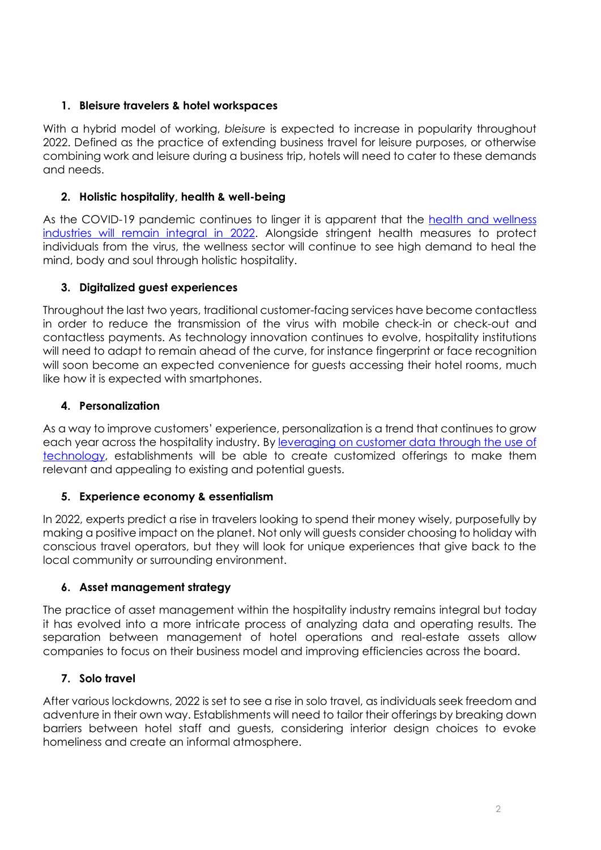## **1. Bleisure travelers & hotel workspaces**

With a hybrid model of working, *bleisure* is expected to increase in popularity throughout 2022. Defined as the practice of extending business travel for leisure purposes, or otherwise combining work and leisure during a business trip, hotels will need to cater to these demands and needs.

## **2. Holistic hospitality, health & well-being**

As the COVID-19 pandemic continues to linger it is apparent that the [health and wellness](https://hospitalityinsights.ehl.edu/global-spa-trends-2022)  [industries will remain integral in 2022.](https://hospitalityinsights.ehl.edu/global-spa-trends-2022) Alongside stringent health measures to protect individuals from the virus, the wellness sector will continue to see high demand to heal the mind, body and soul through holistic hospitality.

# **3. Digitalized guest experiences**

Throughout the last two years, traditional customer-facing services have become contactless in order to reduce the transmission of the virus with mobile check-in or check-out and contactless payments. As technology innovation continues to evolve, hospitality institutions will need to adapt to remain ahead of the curve, for instance fingerprint or face recognition will soon become an expected convenience for quests accessing their hotel rooms, much like how it is expected with smartphones.

## **4. Personalization**

As a way to improve customers' experience, personalization is a trend that continues to grow each year across the hospitality industry. By [leveraging on customer data through the use of](https://hospitalityinsights.ehl.edu/personalization-in-hotels)  [technology,](https://hospitalityinsights.ehl.edu/personalization-in-hotels) establishments will be able to create customized offerings to make them relevant and appealing to existing and potential guests.

# **5. Experience economy & essentialism**

In 2022, experts predict a rise in travelers looking to spend their money wisely, purposefully by making a positive impact on the planet. Not only will guests consider choosing to holiday with conscious travel operators, but they will look for unique experiences that give back to the local community or surrounding environment.

#### **6. Asset management strategy**

The practice of asset management within the hospitality industry remains integral but today it has evolved into a more intricate process of analyzing data and operating results. The separation between management of hotel operations and real-estate assets allow companies to focus on their business model and improving efficiencies across the board.

# **7. Solo travel**

After various lockdowns, 2022 is set to see a rise in solo travel, as individuals seek freedom and adventure in their own way. Establishments will need to tailor their offerings by breaking down barriers between hotel staff and guests, considering interior design choices to evoke homeliness and create an informal atmosphere.